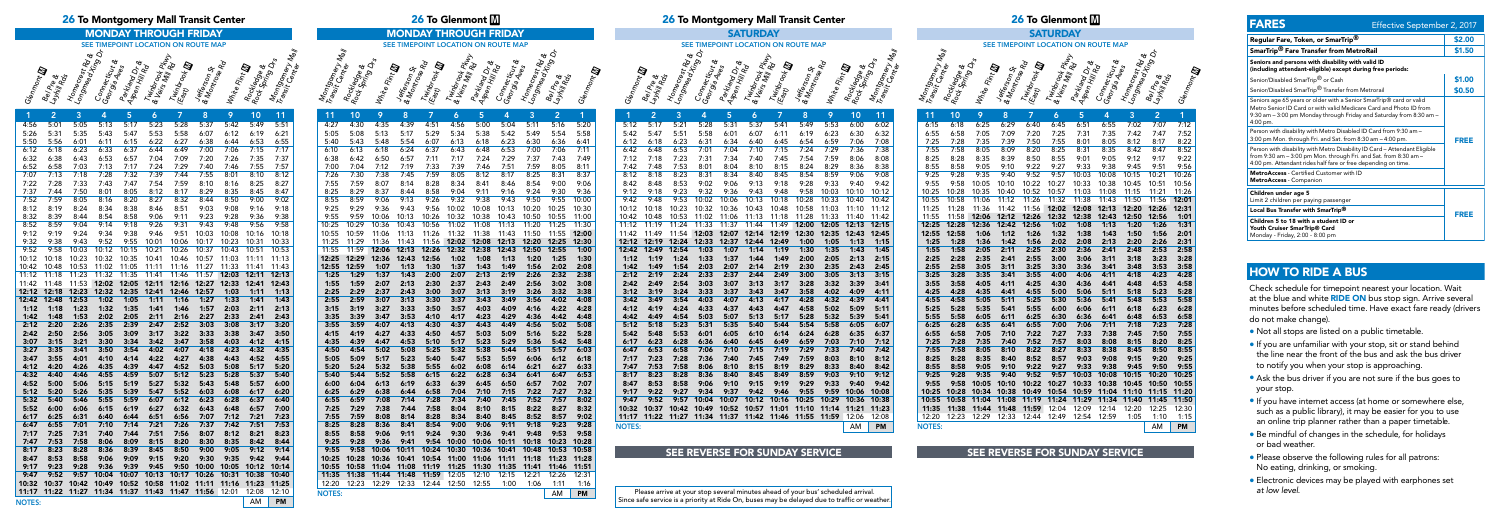Bel Pre &<br>avril e &

Homecrest Rd &<br><sup>Ongmecr</sup>est Rd &

NOTES: AM PM

| the state of the state of the | $\mathbf{z}$ and $\mathbf{z}$ | <b>J</b> .  |       |                   | тара на 1910 година на 1910 година от 1910 година 1920 година и 1920 година 1920 година 1920 година 1920 годин |             |             |       |       | $\mathbf{U}$ $\mathbf{U}$ |
|-------------------------------|-------------------------------|-------------|-------|-------------------|----------------------------------------------------------------------------------------------------------------|-------------|-------------|-------|-------|---------------------------|
| 5:12                          | 5:17                          | 5:21        | 5:28  | 5:31              | 5:37                                                                                                           | 5:41        | 5:49        | 5:53  | 6:00  | 6:02                      |
| 5:42                          | 5:47                          | 5:51        | 5:58  | 6:01              | 6:07                                                                                                           | 6:11        | 6:19        | 6:23  | 6:30  | 6:32                      |
| 6:12                          | 6:18                          | 6:23        | 6:31  | 6:34              | 6:40                                                                                                           | 6:45        | 6:54        | 6:59  | 7:06  | 7:08                      |
| 6:42                          | 6:48                          | 6:53        | 7:01  | 7:04              | 7:10                                                                                                           | 7:15        | 7:24        | 7:29  | 7:36  | 7:38                      |
| 7:12                          | 7:18                          | 7:23        | 7:31  | 7:34              | 7:40                                                                                                           | 7:45        | 7:54        | 7:59  | 8:06  | 8:08                      |
| 7:42                          | 7:48                          | 7:53        | 8:01  | 8:04              | 8:10                                                                                                           | 8:15        | 8:24        | 8:29  | 8:36  | 8:38                      |
| 8:12                          | 8:18                          | 8:23        | 8:31  | 8:34              | 8:40                                                                                                           | 8:45        | 8:54        | 8:59  | 9:06  | 9:08                      |
| 8:42                          | 8:48                          | 8:53        | 9:02  | 9:06              | 9:13                                                                                                           | 9:18        | 9:28        | 9:33  | 9:40  | 9:42                      |
| 9:12                          | 9:18                          | 9:23        | 9:32  | 9:36              | 9:43                                                                                                           | 9:48        | 9:58        | 10:03 | 10:10 | 10:12                     |
| 9:42                          | 9:48                          | 9:53        | 10:02 | 10:06             | 10:13                                                                                                          | 10:18       | 10:28       | 10:33 | 10:40 | 10:42                     |
| 10:12                         | 10:18                         | 10:23       | 10:32 | 10:36             | 10:43                                                                                                          | 10:48       | 10:58       | 11:03 | 11:10 | 11:12                     |
| 10:42                         | 10:48                         | 10:53       | 11:02 | 11:06             | 11:13                                                                                                          | 11:18       | 11:28       | 11:33 | 11:40 | 11:42                     |
| 11:12                         | 11:19                         | 11:24       | 11:33 | 11:37             | 11:44                                                                                                          | 11:49       | 12:00       | 12:05 | 12:13 | 12:15                     |
| 11:42                         | 11:49                         | 11:54       | 12:03 | 12:07             | 12:14                                                                                                          | 12:19       | 12:30       | 12:35 | 12:43 | 12:45                     |
| 12:12                         | 12:19                         | 12:24       | 12:33 | 12:37             |                                                                                                                | 12:44 12:49 | 1:00        | 1:05  | 1:13  | 1:15                      |
| 12:42                         | 12:49                         | 12:54       | 1:03  | 1:07              | 1:14                                                                                                           | 1:19        | 1:30        | 1:35  | 1:43  | 1:45                      |
| 1:12                          | 1:19                          | 1:24        | 1:33  | 1:37              | 1:44                                                                                                           | 1:49        | 2:00        | 2:05  | 2:13  | 2:15                      |
| 1:42                          | 1:49                          | 1:54        | 2:03  | 2:07              | 2:14                                                                                                           |             | 2:19 2:30   | 2:35  | 2:43  | 2:45                      |
| 2:12                          | 2:19                          | 2:24        | 2:33  | 2:37              | 2:44                                                                                                           | 2:49        | 3:00        | 3:05  | 3:13  | 3:15                      |
| 2:42                          | 2:49                          | 2:54        | 3:03  | 3:07              | 3:13                                                                                                           | 3:17        | 3:28        | 3:32  | 3:39  | 3:41                      |
| 3:12                          | 3:19                          | 3:24        | 3:33  | 3:37              | 3:43                                                                                                           | 3:47        | 3:58        | 4:02  | 4:09  | 4:11                      |
| 3:42                          | 3:49                          | 3:54        | 4:03  | 4:07              | 4:13                                                                                                           | 4:17        | 4:28        | 4:32  | 4:39  | 4:41                      |
| 4:12                          | 4:19                          | 4:24        | 4:33  | 4:37              | 4:43                                                                                                           | 4:47        | 4:58        | 5:02  | 5:09  | 5:11                      |
| 4:42                          | 4:49                          | 4:54        | 5:03  | 5:07              | 5:13                                                                                                           | 5:17        | 5:28        | 5:32  | 5:39  | 5:41                      |
| 5:12                          | 5:18                          | 5:23        | 5:31  | 5:35              | 5:40                                                                                                           | 5:44        | 5:54        | 5:58  | 6:05  | 6:07                      |
| 5:42                          | 5:48                          | 5:53        | 6:01  | 6:05              | 6:10                                                                                                           | 6:14        | 6:24        | 6:28  | 6:35  | 6:37                      |
| 6:17                          | 6:23                          | 6:28        | 6:36  | 6:40              | 6:45                                                                                                           | 6:49        | 6:59        | 7:03  | 7:10  | 7:12                      |
| 6:47                          | 6:53                          | 6:58        | 7:06  | 7:10              | 7:15                                                                                                           | 7:19        | 7:29        | 7:33  | 7:40  | 7:42                      |
| 7:17                          | 7:23                          | 7:28        | 7:36  | 7:40              | 7:45                                                                                                           | 7:49        | 7:59        | 8:03  | 8:10  | 8:12                      |
| 7:47                          | 7:53                          | 7:58        | 8:06  | 8:10              | 8:15                                                                                                           | 8:19        | 8:29        | 8:33  | 8:40  | 8:42                      |
| 8:17                          | 8:23                          | 8:28        | 8:36  | 8:40              | 8:45                                                                                                           | 8:49        | 8:59        | 9:03  | 9:10  | 9:12                      |
| 8:47                          | 8:53                          | 8:58        | 9:06  | 9:10              | 9:15                                                                                                           | 9:19        | 9:29        | 9:33  | 9:40  | 9:42                      |
| 9:17                          | 9:22                          | 9:27        | 9:34  | 9:37              | 9:42                                                                                                           | 9:46        | 9:55        | 9:59  | 10:06 | 10:08                     |
| 9:47                          | 9:52                          | 9:57        |       | 10:04 10:07 10:12 |                                                                                                                |             | 10:16 10:25 | 10:29 | 10:36 | 10:38                     |
| 10:32                         |                               | 10:37 10:42 |       | 10:49 10:52 10:57 |                                                                                                                | 11:01       | 11:10       | 11:14 | 11:21 | 11:23                     |
| 11:17                         | 11:22                         | 11:27       |       | 11:34 11:37 11:42 |                                                                                                                | 11:46       | 11:55       | 11:59 | 12:06 | 12:08                     |
| <b>NOTES:</b>                 |                               |             |       |                   |                                                                                                                |             |             |       | AM    | PM                        |
|                               |                               |             |       |                   |                                                                                                                |             |             |       |       |                           |

# SEE REVERSE FOR SUNDAY SERVICE SEE REVERSE FOR SUNDAY SERVICE

# 26 To Glenmont m 26 To Glenmont m 26 To Montgomery Mall Transit Center 26 To Montgomery Mall Transit Center

# SEE TIMEPOINT LOCATION ON ROUTE MAP



## 1 2 3 4 5 6 7 8 9 10 11 NOTES: AM PM Glenmont **ID** Jefferson St & Nontron St<br>Montrose Rd  $W_{h_i t_8}$  Fi $_{h_i t_8}$ Transit Center<br>Lansit Center Layhiil Rds Longmecrest Roy<br><sup>Congmead</sup> Xing &<br>Co<sub>nne</sub> Connecticut &<br>Permecticut & Geor<sup>mectic</sup>ut<br><sup>Georgia Aves</sup><br>A. Asi <sup>Klan</sup>d Dr.<br>Aspen Hill Pr.<br>T. . Twinbrook Pk<br>Peinshook Pkwy<br>T<sup>heis Mill Pkw</sup>y & Vindrook PK<br>Veirs Mill Rd<br>Tais Twinbrook **m** المبر<br>الجمهوري 4:56 5:01 5:05 5:13 5:17 5:23 5:28 5:37 5:42 5:49 5:51 5:26 5:31 5:35 5:43 5:47 5:53 5:58 6:07 6:12 6:19 6:21 5:50 5:56 6:01 6:11 6:15 6:22 6:27 6:38 6:44 6:53 6:55 6:12 6:18 6:23 6:33 6:37 6:44 6:49 7:00 7:06 7:15 7:17 6:32 6:38 6:43 6:53 6:57 7:04 7:09 7:20 7:26 7:35 7:37 6:52 6:58 7:03 7:13 7:17 7:24 7:29 7:40 7:46 7:55 7:57 7:07 7:13 7:18 7:28 7:32 7:39 7:44 7:55 7:22 7:28 7:33 7:43 7:47 7:54 7:59 8:10 8:16 8:25 8:27 7:37 7:44 7:50 8:01 8:05 8:12 8:17 8:29 8:35 8:45 8:47 7:52 7:59 8:05 8:16 8:20 8:27 8:32 8:44 8:50 9:00 9:02 8:12 8:19 8:24 8:34 8:38 8:46 8:51 9:03 9:08 9:16 9:18 8:32 8:39 8:44 8:54 8:58 9:06 9:11 9:23 9:28 9:36 9:38 8:52 8:59 9:04 9:14 9:18 9:26 9:31 9:43 9:48 9:56 9:58 9:12 9:19 9:24 9:34 9:38 9:46 9:51 10:03 10:08 10:16 10:18 9:32 9:38 9:43 9:52 9:55 10:01 10:06 10:17 10:23 9:52 9:58 10:03 10:12 10:15 10:21 10:26 10:37 10:43 10:12 10:18 10:23 10:32 10:35 10:41 10:46 10:57 11:03 11:11 11:13 10:42 10:48 10:53 11:02 11:05 11:11 11:16 11:27 11:33 11:41 11:43 11:12 11:18 11:23 11:32 11:35 11:41 11:46 11:57 12:03 12:11 12:13 11:42 11:48 11:53 12:02 12:05 12:11 12:16 12:27 12:33 12:41 12:43 12:12 12:18 12:23 12:32 12:35 12:41 12:46 12:57 1:03 1:11 1:13 12:42 12:48 12:53 1:02 1:05 1:11 1:16 1:27 1:33 1:41 1:43 1:12 1:18 1:23 1:32 1:35 1:41 1:46 1:57 2:03 2:11 2:13 1:42 1:48 1:53 2:02 2:05 2:11 2:16 2:27 2:33 2:41 2:43 2:12 2:20 2:26 2:35 2:39 2:47 2:52 3:03 3:08 3:17 3:20 2:42 2:50 2:56 3:05 3:09 3:17 3:22 3:33 3:38 3:47 3:50 3:07 3:15 3:21 3:30 3:34 3:42 3:47 3:58 4:03 4:12 4:15 3:27 3:35 3:41 3:50 3:54 4:02 4:07 4:18 4:23 4:32 4:35 3:47 3:55 4:01 4:10 4:14 4:22 4:27 4:38 4:43 4:52 4:55 4:12 4:20 4:26 4:35 4:39 4:47 4:52 5:03 5:08 5:17 5:20 4:32 4:40 4:46 4:55 4:59 5:07 5:12 5:23 5:28 5:37 5:40 4:52 5:00 5:06 5:15 5:19 5:27 5:32 5:43 5:48 5:57 6:00 5:12 5:20 5:26 5:35 5:39 5:47 5:52 6:03 6:08 6:17 6:20 5:32 5:40 5:46 5:55 5:59 6:07 6:12 6:23 6:28 6:37 6:40 5:52 6:00 6:06 6:15 6:19 6:27 6:32 6:43 6:48 6:57 7:00 6:17 6:25 6:31 6:40 6:44 6:51 6:56 7:07 7:12 7:21 7:23 6:47 6:55 7:01 7:10 7:14 7:21 7:26 7:37 7:42 7:51 7:53 7:17 7:25 7:31 7:40 7:44 7:51 7:56 8:07 8:12 8:21 8:23 7:47 7:53 7:58 8:06 8:09 8:15 8:20 8:30 8:35 8:42 8:44 8:17 8:23 8:28 8:36 8:39 8:45 8:50 9:00 9:05 9:12 9:14 8:47 8:53 8:58 9:06 9:09 9:15 9:20 9:30 9:35 9:42 9:44 9:17 9:23 9:28 9:36 9:39 9:45 9:50 10:00 10:05 10:12 10:14 9:47 9:52 9:57 10:04 10:07 10:13 10:17 10:26 10:31 10:38 10:40 10:32 10:37 10:42 10:49 10:52 10:58 11:02 11:11 11:16 11:23 11:25 11:17 11:22 11:27 11:34 11:37 11:43 11:47 11:56 12:01 12:08 12:10



| Montgomery Nall | A Rockedge &<br>Rock Spring Dre |                 | Jefferson St.<br>4 Montose Rd |               | A & Virtibrook Pruy | <b>1 Aspenance</b><br>Aspen Hill Pre | <b>Comecticute</b><br>Georgiecticute | L. Homecrest Rd & | A <sup>Longmead Xing Dr</sup>       |              |
|-----------------|---------------------------------|-----------------|-------------------------------|---------------|---------------------|--------------------------------------|--------------------------------------|-------------------|-------------------------------------|--------------|
|                 |                                 | 4 White Flint D |                               | . Twinbrook I |                     |                                      |                                      |                   |                                     |              |
|                 |                                 |                 |                               |               |                     |                                      |                                      |                   |                                     |              |
|                 |                                 |                 |                               |               |                     |                                      |                                      |                   | <b>Bel Pre &amp;</b><br>Lawill Rock |              |
| 11              | 10                              | 9               | 8                             | 7             | 6                   | 5                                    | 4                                    | 3                 | $\overline{\mathbf{2}}$             | 1            |
| 4:27            | 4:30                            | 4:35            | 4:39                          | 4:51          | 4:56                | 5:00                                 | 5:04                                 | 5:11              | 5:16                                | 5:20         |
| 5:05            | 5:08                            | 5:13            | 5:17                          | 5:29          | 5:34                | 5:38                                 | 5:42                                 | 5:49              | 5:54                                | 5:58         |
| 5:40            | 5:43                            | 5:48            | 5:54                          | 6:07          | 6:13                | 6:18                                 | 6:23                                 | 6:30              | 6:36                                | 6:41         |
| 6:10            | 6:13                            | 6:18            | 6:24                          | 6:37          | 6:43                | 6:48                                 | 6:53                                 | 7:00              | 7:06                                | 7:11         |
| 6:38            | 6:42                            | 6:50            | 6:57                          | 7:11          | 7:17                | 7:24                                 | 7:29                                 | 7:37              | 7:43                                | 7:49         |
| 7:00            | 7:04                            | 7:12            | 7:19                          | 7:33          | 7:39                | 7:46                                 | 7:51                                 | 7:59              | 8:05                                | 8:11         |
| 7:26            | 7:30                            | 7:38            | 7:45                          | 7:59          | 8:05                | 8:12                                 | 8:17                                 | 8:25              | 8:31                                | 8:37         |
| 7:55            | 7:59                            | 8:07            | 8:14                          | 8:28          | 8:34                | 8:41                                 | 8:46                                 | 8:54              | 9:00                                | 9:06         |
| 8:25            | 8:29                            | 8:37            | 8:44                          | 8:58          | 9:04                | 9:11                                 | 9:16                                 | 9:24              | 9:30                                | 9:36         |
| 8:55            | 8:59                            | 9:06            | 9:13                          | 9:26          | 9:32                | 9:38                                 | 9:43                                 | 9:50              | 9:55                                | 10:00        |
| 9:25            | 9:29                            | 9:36            | 9:43                          | 9:56          | 10:02               | 10:08                                | 10:13                                | 10:20             | 10:25                               | 10:30        |
| 9:55            | 9:59                            | 10:06           | 10:13                         | 10:26         | 10:32               | 10:38                                | 10:43                                | 10:50             | 10:55                               | 11:00        |
| 10:25           | 10:29                           | 10:36           | 10:43                         | 10:56         | 11:02               | 11:08                                | 11:13                                | 11:20             | 11:25                               | 11:30        |
| 10:55           | 10:59                           | 11:06           | 11:13                         | 11:26         | 11:32               | 11:38                                | 11:43                                | 11:50             | 11:55                               | 12:00        |
| 11:25           | 11:29                           | 11:36           | 11:43                         | 11:56         | 12:02               | 12:08                                | 12:13                                | 12:20             | 12:25                               | 12:30        |
| 11:55           | 11:59                           | 12:06           | 12:13                         | 12:26         | 12:32               | 12:38                                | 12:43                                | 12:50             | 12:55                               | 1:00         |
| 12:25           | 12:29                           | 12:36           | 12:43                         | 12:56         | 1:02                | 1:08                                 | 1:13                                 | 1:20              | 1:25                                | 1:30         |
| 12:55<br>1:25   | 12:59<br>1:29                   | 1:07<br>1:37    | 1:13<br>1:43                  | 1:30<br>2:00  | 1:37<br>2:07        | 1:43<br>2:13                         | 1:49<br>2:19                         | 1:56<br>2:26      | 2:02<br>2:32                        | 2:08<br>2:38 |
| 1:55            | 1:59                            | 2:07            | 2:13                          | 2:30          | 2:37                | 2:43                                 | 2:49                                 | 2:56              | 3:02                                | 3:08         |
| 2:25            | 2:29                            | 2:37            | 2:43                          | 3:00          | 3:07                | 3:13                                 | 3:19                                 | 3:26              | 3:32                                | 3:38         |
| 2:55            | 2:59                            | 3:07            | 3:13                          | 3:30          | 3:37                | 3:43                                 | 3:49                                 | 3:56              | 4:02                                | 4:08         |
| 3:15            | 3:19                            | 3:27            | 3:33                          | 3:50          | 3:57                | 4:03                                 | 4:09                                 | 4:16              | 4:22                                | 4:28         |
| 3:35            | 3:39                            | 3:47            | 3:53                          | 4:10          | 4:17                | 4:23                                 | 4:29                                 | 4:36              | 4:42                                | 4:48         |
| 3:55            | 3:59                            | 4:07            | 4:13                          | 4:30          | 4:37                | 4:43                                 | 4:49                                 | 4:56              | 5:02                                | 5:08         |
| 4:15            | 4:19                            | 4:27            | 4:33                          | 4:50          | 4:57                | 5:03                                 | 5:09                                 | 5:16              | 5:22                                | 5:28         |
| 4:35            | 4:39                            | 4:47            | 4:53                          | 5:10          | 5:17                | 5:23                                 | 5:29                                 | 5:36              | 5:42                                | 5:48         |
| 4:50            | 4:54                            | 5:02            | 5:08                          | 5:25          | 5:32                | 5:38                                 | 5:44                                 | 5:51              | 5:57                                | 6:03         |
| 5:05            | 5:09                            | 5:17            | 5:23                          | 5:40          | 5:47                | 5:53                                 | 5:59                                 | 6:06              | 6:12                                | 6:18         |
| 5:20            | 5:24                            | 5:32            | 5:38                          | 5:55          | 6:02                | 6:08                                 | 6:14                                 | 6:21              | 6:27                                | 6:33         |
| 5:40            | 5:44                            | 5:52            | 5:58                          | 6:15          | 6:22                | 6:28                                 | 6:34                                 | 6:41              | 6:47                                | 6:53         |
| 6:00            | 6:04                            | 6:13            | 6:19                          | 6:33          | 6:39                | 6:45                                 | 6:50                                 | 6:57              | 7:02                                | 7:07         |
| 6:25            | 6:29                            | 6:38            | 6:44                          | 6:58          | 7:04                | 7:10                                 | 7:15                                 | 7:22              | 7:27                                | 7:32         |
| 6:55            | 6:59                            | 7:08            | 7:14                          | 7:28          | 7:34                | 7:40                                 | 7:45                                 | 7:52              | 7:57                                | 8:02         |
| 7:25            | 7:29                            | 7:38            | 7:44                          | 7:58          | 8:04                | 8:10                                 | 8:15                                 | 8:22              | 8:27                                | 8:32         |
| 7:55            | 7:59                            | 8:08            | 8:14                          | 8:28          | 8:34                | 8:40                                 | 8:45                                 | 8:52              | 8:57                                | 9:02         |
| 8:25            | 8:28                            | 8:36            | 8:41                          | 8:54          | 9:00                | 9:06                                 | 9:11                                 | 9:18              | 9:23                                | 9:28         |
| 8:55            | 8:58                            | 9:06            | 9:11                          | 9:24          | 9:30                | 9:36                                 | 9:41                                 | 9:48              | 9:53                                | 9:58         |
| 9:25            | 9:28                            | 9:36            | 9:41                          | 9:54          | 10:00               | 10:06                                | 10:11                                | 10:18             | 10:23                               | 10:28        |
| 9:55            | 9:58                            | 10:06           | 10:11                         | 10:24         | 10:30               | 10:36                                | 10:41                                | 10:48             | 10:53                               | 10:58        |
| 10:25           | 10:28                           | 10:36           | 10:41                         | 10:54         | 11:00               | 11:06                                | 11:11                                | 11:18             | 11:23                               | 11:28        |
| 10:55           | 10:58                           | 11:04           | 11:08                         | 11:19         | 11:25               | 11:30                                | 11:35                                | 11:41             | 11:46                               | 11:51        |
| 11:35           | 11:38                           | 11:44           | 11:48                         | 11:59         | 12:05               | 12:10                                | 12:15                                | 12:21             | 12:26                               | 12:31        |
| 12:20           | 12:23                           | 12:29           | 12:33                         | 12:44         | 12:50               | 12:55                                | 1:00                                 | 1:06              | 1:11                                | 1:16         |

| <b>MONDAY THROUGH FRIDAY</b>                                                                                                                                                                                                                                                                                                                                                                                                                                                                                                                                                                                                                                                                                                                                                                                                                                                                                                                                                                                                                                                                                                                                                                                                         | <b>MONDAY THROUGH FRIDAY</b>                                                                                                                                                                                                                                                                                                                                                                                                                                                                                                                                                                                                                                                                                                                                                                                                                                                                                                                                                                                                                                                                                                                                                                                                                                                                                                                                                                                                                                                                                                                                                                                                                          | <b>SATURDAY</b>                                                                                                                                                                                                                                                                                                                                                                                                                                                                                                                                                                                                                                                                                                                                                                                                                                                                                                                                                                                                                                                                                                                                                                                                                                                                                                                                                                                                                                                                                                                                                      | <b>SATURDAY</b>                                                                                                                                                                                                                                                                                                                                                                                                                                                                                                                                                                                                                                                                                                                                                                                                                                                                                                                                                                                                                                                                                                                                                                                                                                                                                                                                                                                                                                                                                                                                                                            |
|--------------------------------------------------------------------------------------------------------------------------------------------------------------------------------------------------------------------------------------------------------------------------------------------------------------------------------------------------------------------------------------------------------------------------------------------------------------------------------------------------------------------------------------------------------------------------------------------------------------------------------------------------------------------------------------------------------------------------------------------------------------------------------------------------------------------------------------------------------------------------------------------------------------------------------------------------------------------------------------------------------------------------------------------------------------------------------------------------------------------------------------------------------------------------------------------------------------------------------------|-------------------------------------------------------------------------------------------------------------------------------------------------------------------------------------------------------------------------------------------------------------------------------------------------------------------------------------------------------------------------------------------------------------------------------------------------------------------------------------------------------------------------------------------------------------------------------------------------------------------------------------------------------------------------------------------------------------------------------------------------------------------------------------------------------------------------------------------------------------------------------------------------------------------------------------------------------------------------------------------------------------------------------------------------------------------------------------------------------------------------------------------------------------------------------------------------------------------------------------------------------------------------------------------------------------------------------------------------------------------------------------------------------------------------------------------------------------------------------------------------------------------------------------------------------------------------------------------------------------------------------------------------------|----------------------------------------------------------------------------------------------------------------------------------------------------------------------------------------------------------------------------------------------------------------------------------------------------------------------------------------------------------------------------------------------------------------------------------------------------------------------------------------------------------------------------------------------------------------------------------------------------------------------------------------------------------------------------------------------------------------------------------------------------------------------------------------------------------------------------------------------------------------------------------------------------------------------------------------------------------------------------------------------------------------------------------------------------------------------------------------------------------------------------------------------------------------------------------------------------------------------------------------------------------------------------------------------------------------------------------------------------------------------------------------------------------------------------------------------------------------------------------------------------------------------------------------------------------------------|--------------------------------------------------------------------------------------------------------------------------------------------------------------------------------------------------------------------------------------------------------------------------------------------------------------------------------------------------------------------------------------------------------------------------------------------------------------------------------------------------------------------------------------------------------------------------------------------------------------------------------------------------------------------------------------------------------------------------------------------------------------------------------------------------------------------------------------------------------------------------------------------------------------------------------------------------------------------------------------------------------------------------------------------------------------------------------------------------------------------------------------------------------------------------------------------------------------------------------------------------------------------------------------------------------------------------------------------------------------------------------------------------------------------------------------------------------------------------------------------------------------------------------------------------------------------------------------------|
| EE TIMEPOINT LOCATION ON ROUTE MAP                                                                                                                                                                                                                                                                                                                                                                                                                                                                                                                                                                                                                                                                                                                                                                                                                                                                                                                                                                                                                                                                                                                                                                                                   | SEE TIMEPOINT LOCATION ON ROUTE MAP                                                                                                                                                                                                                                                                                                                                                                                                                                                                                                                                                                                                                                                                                                                                                                                                                                                                                                                                                                                                                                                                                                                                                                                                                                                                                                                                                                                                                                                                                                                                                                                                                   | SEE TIMEPOINT LOCATION ON ROUTE MAP                                                                                                                                                                                                                                                                                                                                                                                                                                                                                                                                                                                                                                                                                                                                                                                                                                                                                                                                                                                                                                                                                                                                                                                                                                                                                                                                                                                                                                                                                                                                  | SEE TIMEPOINT LOCATION ON ROUTE MAP                                                                                                                                                                                                                                                                                                                                                                                                                                                                                                                                                                                                                                                                                                                                                                                                                                                                                                                                                                                                                                                                                                                                                                                                                                                                                                                                                                                                                                                                                                                                                        |
| ঽৼৡ<br>Hignol                                                                                                                                                                                                                                                                                                                                                                                                                                                                                                                                                                                                                                                                                                                                                                                                                                                                                                                                                                                                                                                                                                                                                                                                                        | ☞<br>५ ०<br>Flint <b>D</b><br>tlang Dr.<br><sup>Mill Ro</sup><br><b>PAR</b><br>20                                                                                                                                                                                                                                                                                                                                                                                                                                                                                                                                                                                                                                                                                                                                                                                                                                                                                                                                                                                                                                                                                                                                                                                                                                                                                                                                                                                                                                                                                                                                                                     | Hedge &<br>Spring Dr.<br>∖<br>☞                                                                                                                                                                                                                                                                                                                                                                                                                                                                                                                                                                                                                                                                                                                                                                                                                                                                                                                                                                                                                                                                                                                                                                                                                                                                                                                                                                                                                                                                                                                                      | ❸                                                                                                                                                                                                                                                                                                                                                                                                                                                                                                                                                                                                                                                                                                                                                                                                                                                                                                                                                                                                                                                                                                                                                                                                                                                                                                                                                                                                                                                                                                                                                                                          |
| 10 <sup>°</sup><br>-9.<br>$\sqrt{11}$<br>5:23<br>5:37<br>5:42<br>5:51<br>5:17<br>5:28<br>5:49<br>5:13<br>5:53<br>5:47<br>5:58<br>6:07<br>6:12<br>6:19<br>6:21<br>5:43<br>6:22<br>6:27<br>6:38<br>6:55<br>6:11<br>6:15<br>6:44<br>6:53<br>6:49 7:00<br>6:37<br>6:44<br>7:06<br>7:15<br>7:17<br>6:33<br>7:20<br>6:57<br>7:04<br>7:09<br>7:26<br>7:35<br>7:37<br>6:53<br>7:24<br>7:29 7:40<br>7:55<br>7:57<br>7:13<br>7:17<br>7:46<br>7:55<br>7:32<br>7:39<br>7:44<br>8:12<br>7:28<br>8:01<br>8:10<br>7:47<br>7:54<br>7:59<br>8:10<br>7:43<br>8:16<br>8:25<br>8:27<br>8:17 8:29<br>8:05<br>8:12<br>8:35<br>8:47<br>8:01<br>8:45<br>8:27<br>8:32 8:44 8:50<br>8:20<br>9:00<br>9:02<br>8:16<br>8:34<br>8:38<br>8:46<br>8:51<br>9:03<br>9:08<br>9:16<br>9:18<br>8:58<br>9:06<br>9:11 9:23<br>9:28<br>8:54<br>9:36<br>9:38<br>$9:14$ $9:18$<br>9:26<br>9:31 9:43 9:48<br>9:56<br>9:58<br>9:46 9:51 10:03 10:08 10:16 10:18<br>9:38<br>9:34<br>9:52  9:55  10:01  10:06  10:17  10:23  10:31<br>10:33<br>10:12 10:15 10:21 10:26 10:37 10:43 10:51 10:53<br>10:32  10:35  10:41  10:46  10:57  11:03  11:11  11:13<br>11:02  11:05  11:11  11:16  11:27  11:33  11:41  11:43<br>11:32  11:35  11:41  11:46  11:57 <b>12:03  12:11  12:13</b> | 10 <sup>°</sup><br>11<br>4:30<br>4:35<br>4:51<br>4:56<br>5:00<br>5:04<br>4:39<br>5:11<br>5:16<br>5:20<br>4:27<br>5:54<br>5:08<br>5:13<br>5:17<br>5:29<br>5:34<br>5:38<br>5:42<br>5:49<br>5:58<br>5:05<br>5:48<br>6:07<br>6:13<br>6:23<br>6:30<br>6:36<br>6:41<br>5:40<br>5:43<br>5:54<br>6:18<br>6:13<br>6:18<br>6:24<br>6:37<br>6:43<br>6:48<br>6:53<br>7:00<br>7:06<br>7:11<br>7:17<br>6:42<br>6:50<br>6:57<br>7:11<br>7:24<br>7:29<br>7:37<br>7:43<br>7:49<br>6:38<br>7:04<br>7:12<br>7:19<br>7:33<br>7:39<br>7:46<br>7:51<br>7:59<br>8:05<br>8:11<br>7:00<br>7:30<br>7:38<br>7:45<br>7:59<br>8:05<br>8:17<br>8:25<br>8:37<br>7:26<br>8:12<br>8:31<br>7:55<br>7:59<br>8:07<br>8:14<br>8:28<br>8:34<br>8:54<br>8:41<br>8:46<br>9:00<br>9:06<br>8:37<br>8:29<br>8:44<br>8:58<br>9:04<br>9:11<br>9:16<br>9:24<br>9:30<br>9:36<br>8:25<br>9:32<br>9:38<br>8:55<br>8:59<br>9:06<br>9:13<br>9:26<br>9:43<br>9:50<br>9:55<br>10:00<br>9:36<br>9:56 10:02 10:08 10:13 10:20 10:25<br>9:25<br>9:29<br>9:43<br>10:30<br>9:55<br>9:59<br>10:06 10:13 10:26 10:32 10:38 10:43 10:50 10:55<br>11:00<br>10:25 10:29 10:36 10:43 10:56 11:02 11:08 11:13 11:20 11:25 11:30<br>10:55 10:59<br>11:06  11:13  11:26  11:32  11:38  11:43  11:50  11:55 <b>12:00</b><br>11:25 11:29 11:36 11:43 11:56 12:02 12:08 12:13 12:20 12:25 12:30<br>11:55  11:59  12:06  12:13  12:26  12:32  12:38  12:43  12:50  12:55<br>1:00<br>12:25 12:29 12:36 12:43 12:56 1:02<br>1:13 1:20<br>1:08<br>1:25<br>1:30<br>1:07<br>1:30<br>1:37<br>1:43<br>1:49<br>1:56<br>2:08<br>12:55 12:59<br>1:13<br>2:02<br>1:43 2:00 2:07 2:13 2:19 2:26<br>$1:25$ $1:29$<br>1:37<br>2:32<br>2:38 | $-11$<br>5:17<br>5:21<br>5:28<br>5:31<br>5:37<br>5:41<br>5:53<br>5:49<br>6:00<br>6:02<br>5:12<br>5:42<br>5:47<br>5:51<br>5:58<br>6:01<br>6:07<br>6:11<br>6:19<br>6:23<br>6:30<br>6:32<br>$6:12$ $6:18$<br>6:23<br>6:34<br>6:40<br>6:45<br>6:59<br>7:08<br>6:31<br>6:54<br>7:06<br>6:48<br>6:53<br>7:01<br>7:04<br>7:10<br>7:15<br>7:24<br>7:29<br>7:36<br>7:38<br>6:42<br>$7:12$ $7:18$<br>7:23<br>7:31<br>7:34<br>7:40 7:45<br>7:54<br>7:59<br>8:06<br>8:08<br>7:53<br>8:01<br>8:04<br>8:10 8:15<br>7:42<br>7:48<br>8:24<br>8:29<br>8:36<br>8:38<br>8:12<br>8:18<br>8:23<br>8:31<br>8:34<br>8:40<br>8:45<br>8:59<br>9:06<br>9:08<br>8:54<br>8:48<br>8:53<br>9:02<br>9:06<br>$9:13$ $9:18$<br>9:33<br>8:42<br>9:28<br>9:40<br>9:42<br>9:32<br>9:43<br>9:12<br>9:18<br>9:23<br>9:36<br>9:48<br>9:58<br>10:03 10:10 10:12<br>9:48<br>9:53  10:02  10:06  10:13  10:18  10:28  10:33  10:40<br>9:42<br>10:42<br>10:12 10:18 10:23 10:32 10:36 10:43 10:48 10:58 11:03 11:10 11:12<br>10:53  11:02  11:06  11:13  11:18  11:28  11:33  11:40  11:42<br>10:42 10:48<br>11:12 11:19 11:24 11:33 11:37 11:44 11:49 1 <b>2:00 12:05 12:13 12:15</b><br>11:42 11:49 11:54 12:03 12:07 12:14 12:19 12:30 12:35 12:43 12:45<br>12:12 12:19 12:24 12:33 12:37 12:44 12:49 1:00<br>12:42 12:49 12:54 1:03<br>1:30<br>1:35<br>1:45<br>1:43<br>1:24<br>1:33<br>1:37  1:44  1:49  2:00  2:05  2:13  2:15<br>$1:12$ $1:19$<br>1:54<br>2:03<br>2:07 2:14 2:19 2:30<br>$1:42$ $1:49$<br>2:35<br>2:43<br>2:45<br>2:24 2:33 2:37 2:44 2:49 3:00<br>$2:12$ $2:19$<br>3:05<br>$3:13$ $3:15$ | 11<br>6:18<br>6:25<br>6:29<br>6:51<br>6:55<br>6:15<br>6:40<br>6:45<br>7:02<br>7:07<br>7:12<br>7:20<br>7:25<br>6:55<br>6:58<br>7:05<br>7:09<br>7:31<br>7:35<br>7:42<br>7:47<br>7:52<br>7:25<br>7:35<br>7:39<br>7:50<br>7:55<br>8:01<br>8:05<br>8:12<br>8:22<br>7:28<br>8:17<br>8:09<br>8:25<br>8:47<br>8:52<br>7:55<br>7:58<br>8:05<br>8:20<br>8:31<br>8:35<br>8:42<br>8:55 9:01<br>8:25<br>8:28<br>8:35<br>8:39<br>8:50<br>9:05<br>9:12<br>9:17<br>9:22<br>8:58<br>9:05<br>9:10 9:22<br>9:27 9:33<br>9:38<br>9:51 9:56<br>9:45<br>9:52<br>9:57 10:03 10:08<br>9:25<br>9:28<br>9:35<br>9:40<br>10:15 10:21 10:26<br>9:58<br>10:05  10:10  10:22  10:27  10:33  10:38  10:45  10:51  10:56<br>10:28 10:35 10:40 10:52 10:57 11:03 11:08 11:15 11:21 11:26<br>10:25<br>10:55 10:58 11:06 11:12 11:26 11:32 11:38 11:43 11:50 11:56 <b>12:01</b><br>11:28 11:36 11:42 11:56 <b>12:02 12:08 12:13 12:20 12:26 12:31</b><br>11:25<br>11:58  12:06  12:12  12:26  12:32  12:38  12:43  12:50  12:56  1:01<br>11:55<br>12:25 12:28 12:36 12:42 12:56 1:02 1:08 1:13<br>1:20<br>$1:26$ $1:31$<br>12:58<br>1:06<br>$1:12$ $1:26$<br>$1:32$ $1:38$<br>1:43<br>1:50<br>$1:56$ $2:01$<br>12:55<br>1:42 1:56<br>2:02 2:08 2:13<br>$2:26$ $2:31$<br>1:28<br>1:36<br>2:20<br>1:25<br>1:58<br>2:05<br>$2:11$ $2:25$<br>2:30<br>2:36<br>$2:53$ $2:58$<br>2:41<br>2:48<br>2:28<br>2:35<br>2:41 2:55 3:00 3:06 3:11 3:18<br>$3:23$ $3:28$<br>2:25<br>2:58<br>3:05<br>$3:11$ $3:25$ $3:30$<br>3:36<br>$3:53$ $3:58$<br>2:55<br>3:41<br>3:48<br>$3:25$ $3:28$<br>3:35 3:41 3:55 4:00 4:06 4:11 4:18<br>4:23 4:28 |
| 12:02 12:05 12:11 12:16 12:27 12:33 12:41 12:43                                                                                                                                                                                                                                                                                                                                                                                                                                                                                                                                                                                                                                                                                                                                                                                                                                                                                                                                                                                                                                                                                                                                                                                      | 1:59<br>2:07<br>2:13<br>2:30<br>2:37<br>2:43<br>2:49<br>2:56<br>3:08<br>1:55<br>3:02                                                                                                                                                                                                                                                                                                                                                                                                                                                                                                                                                                                                                                                                                                                                                                                                                                                                                                                                                                                                                                                                                                                                                                                                                                                                                                                                                                                                                                                                                                                                                                  | 2:54<br>3:03<br>$3:07$ $3:13$ $3:17$ $3:28$<br>3:32<br>$2:42$ $2:49$<br>3:39<br>- 3:41                                                                                                                                                                                                                                                                                                                                                                                                                                                                                                                                                                                                                                                                                                                                                                                                                                                                                                                                                                                                                                                                                                                                                                                                                                                                                                                                                                                                                                                                               | 3:58<br>4:05<br>4:11 4:25<br>4:30<br>4:36<br>4:53 4:58<br>4:41<br>4:48                                                                                                                                                                                                                                                                                                                                                                                                                                                                                                                                                                                                                                                                                                                                                                                                                                                                                                                                                                                                                                                                                                                                                                                                                                                                                                                                                                                                                                                                                                                     |
| 12:32 12:35 12:41 12:46 12:57 1:03 1:11 1:13                                                                                                                                                                                                                                                                                                                                                                                                                                                                                                                                                                                                                                                                                                                                                                                                                                                                                                                                                                                                                                                                                                                                                                                         | $2:25$ $2:29$<br>2:37 2:43 3:00 3:07 3:13 3:19 3:26 3:32<br>3:38                                                                                                                                                                                                                                                                                                                                                                                                                                                                                                                                                                                                                                                                                                                                                                                                                                                                                                                                                                                                                                                                                                                                                                                                                                                                                                                                                                                                                                                                                                                                                                                      | 3:24 3:33 3:37 3:43 3:47 3:58 4:02 4:09<br>$3:12$ $3:19$<br>- 4:11                                                                                                                                                                                                                                                                                                                                                                                                                                                                                                                                                                                                                                                                                                                                                                                                                                                                                                                                                                                                                                                                                                                                                                                                                                                                                                                                                                                                                                                                                                   | 4:41  4:55  5:00  5:06  5:11  5:18<br>$5:23$ $5:28$<br>4:25<br>4:28<br>4:35                                                                                                                                                                                                                                                                                                                                                                                                                                                                                                                                                                                                                                                                                                                                                                                                                                                                                                                                                                                                                                                                                                                                                                                                                                                                                                                                                                                                                                                                                                                |
| 1:02 1:05<br>1:11 1:16 1:27<br>1:33<br>1:41<br>1:43<br>1:41  1:46  1:57  2:03  2:11  2:13<br>$1:32$ $1:35$                                                                                                                                                                                                                                                                                                                                                                                                                                                                                                                                                                                                                                                                                                                                                                                                                                                                                                                                                                                                                                                                                                                           | $2:55$ $2:59$<br>3:07<br>3:13<br>$3:30$ $3:37$ $3:43$ $3:49$<br>3:56<br>4:02<br>- 4:08<br>$3:15$ $3:19$<br>3:27<br>$3:33$ $3:50$ $3:57$ $4:03$<br>4:09 4:16<br>4:22<br>4:28                                                                                                                                                                                                                                                                                                                                                                                                                                                                                                                                                                                                                                                                                                                                                                                                                                                                                                                                                                                                                                                                                                                                                                                                                                                                                                                                                                                                                                                                           | 3:54<br>4:03  4:07  4:13  4:17  4:28<br>4:32<br>4:39<br>$3:42$ $3:49$<br>- 4:41<br>4:24<br>4:33<br>4:37  4:43  4:47  4:58<br>$4:12$ $4:19$<br>5:02<br>5:09<br>- 5:11                                                                                                                                                                                                                                                                                                                                                                                                                                                                                                                                                                                                                                                                                                                                                                                                                                                                                                                                                                                                                                                                                                                                                                                                                                                                                                                                                                                                 | 4:58<br>5:05<br>5:11 5:25 5:30 5:36<br>5:41<br>$5:53$ $5:58$<br>4:55<br>5:48<br>5:28<br>5:35<br>5:41 5:55<br>$6:00$ $6:06$ $6:11$<br>6:18<br>$6:23$ $6:28$                                                                                                                                                                                                                                                                                                                                                                                                                                                                                                                                                                                                                                                                                                                                                                                                                                                                                                                                                                                                                                                                                                                                                                                                                                                                                                                                                                                                                                 |
| 2:11 2:16 2:27<br>2:05<br>2:33<br>2:02<br>2:41<br>2:43                                                                                                                                                                                                                                                                                                                                                                                                                                                                                                                                                                                                                                                                                                                                                                                                                                                                                                                                                                                                                                                                                                                                                                               | $3:35$ $3:39$<br>3:47<br>3:53<br>4:10<br>4:17<br>4:23<br>4:36<br>4:42<br>4:48<br>4:29                                                                                                                                                                                                                                                                                                                                                                                                                                                                                                                                                                                                                                                                                                                                                                                                                                                                                                                                                                                                                                                                                                                                                                                                                                                                                                                                                                                                                                                                                                                                                                 | 4:54<br>5:03<br>5:07 5:13 5:17 5:28<br>5:32<br>5:39<br>5:41<br>$4:42$ $4:49$                                                                                                                                                                                                                                                                                                                                                                                                                                                                                                                                                                                                                                                                                                                                                                                                                                                                                                                                                                                                                                                                                                                                                                                                                                                                                                                                                                                                                                                                                         | 5:58<br>6:05<br>6:11<br>6:25<br>6:30 6:36<br>6:41<br>$6:53$ $6:58$<br>6:48                                                                                                                                                                                                                                                                                                                                                                                                                                                                                                                                                                                                                                                                                                                                                                                                                                                                                                                                                                                                                                                                                                                                                                                                                                                                                                                                                                                                                                                                                                                 |
| $2:47$ $2:52$ $3:03$<br>3:08<br>$2:35$ $2:39$<br>3:17 3:20                                                                                                                                                                                                                                                                                                                                                                                                                                                                                                                                                                                                                                                                                                                                                                                                                                                                                                                                                                                                                                                                                                                                                                           | $3:55$ $3:59$<br>4:07<br>4:13<br>4:30  4:37  4:43<br>4:49 4:56<br>5:02<br>5:08                                                                                                                                                                                                                                                                                                                                                                                                                                                                                                                                                                                                                                                                                                                                                                                                                                                                                                                                                                                                                                                                                                                                                                                                                                                                                                                                                                                                                                                                                                                                                                        | 5:23<br>5:31 5:35 5:40 5:44 5:54 5:58<br>$5:12$ $5:18$<br>6:05<br>6:07                                                                                                                                                                                                                                                                                                                                                                                                                                                                                                                                                                                                                                                                                                                                                                                                                                                                                                                                                                                                                                                                                                                                                                                                                                                                                                                                                                                                                                                                                               | 6:41<br>6:55 7:00 7:06<br>$7:23$ $7:28$<br>6:28<br>6:35<br>7:11<br>7:18<br>6:25                                                                                                                                                                                                                                                                                                                                                                                                                                                                                                                                                                                                                                                                                                                                                                                                                                                                                                                                                                                                                                                                                                                                                                                                                                                                                                                                                                                                                                                                                                            |
| $3:17$ $3:22$ $3:33$<br>3:09<br>3:38<br>3:05<br>3:47<br>3:50                                                                                                                                                                                                                                                                                                                                                                                                                                                                                                                                                                                                                                                                                                                                                                                                                                                                                                                                                                                                                                                                                                                                                                         | $4:15$ $4:19$<br>4:27<br>4:33<br>4:50<br>4:57<br>5:03<br>5:09<br>5:16<br>5:22<br>5:28                                                                                                                                                                                                                                                                                                                                                                                                                                                                                                                                                                                                                                                                                                                                                                                                                                                                                                                                                                                                                                                                                                                                                                                                                                                                                                                                                                                                                                                                                                                                                                 | 5:48<br>5:53<br>6:01<br>6:05<br>6:28<br>6:35<br>6:37<br>5:42<br>6:24                                                                                                                                                                                                                                                                                                                                                                                                                                                                                                                                                                                                                                                                                                                                                                                                                                                                                                                                                                                                                                                                                                                                                                                                                                                                                                                                                                                                                                                                                                 | 6:58<br>7:22 7:27 7:33<br>7:50 7:55<br>7:05<br>7:10<br>7:38<br>7:45<br>6:55                                                                                                                                                                                                                                                                                                                                                                                                                                                                                                                                                                                                                                                                                                                                                                                                                                                                                                                                                                                                                                                                                                                                                                                                                                                                                                                                                                                                                                                                                                                |
| 3:34<br>$3:42$ $3:47$ $3:58$<br>4:03<br>$4:12$ $4:15$<br>3:30                                                                                                                                                                                                                                                                                                                                                                                                                                                                                                                                                                                                                                                                                                                                                                                                                                                                                                                                                                                                                                                                                                                                                                        | 4:39<br>4:47<br>4:53<br>5:10<br>5:17<br>5:23<br>5:36<br>5:29<br>5:42<br>5:48<br>4:35                                                                                                                                                                                                                                                                                                                                                                                                                                                                                                                                                                                                                                                                                                                                                                                                                                                                                                                                                                                                                                                                                                                                                                                                                                                                                                                                                                                                                                                                                                                                                                  | 6:23<br>6:28<br>6:36<br>6:40<br>6:45<br>6:49 6:59 7:03<br>6:17<br>7:10<br>7:12                                                                                                                                                                                                                                                                                                                                                                                                                                                                                                                                                                                                                                                                                                                                                                                                                                                                                                                                                                                                                                                                                                                                                                                                                                                                                                                                                                                                                                                                                       | 7:52 7:57 8:03<br>7:28<br>7:35<br>7:40<br>8:08<br>8:15<br>$8:20$ $8:25$<br>7:25                                                                                                                                                                                                                                                                                                                                                                                                                                                                                                                                                                                                                                                                                                                                                                                                                                                                                                                                                                                                                                                                                                                                                                                                                                                                                                                                                                                                                                                                                                            |
| $3:50$ $3:54$<br>4:02  4:07  4:18<br>4:23<br>4:32<br>4:35                                                                                                                                                                                                                                                                                                                                                                                                                                                                                                                                                                                                                                                                                                                                                                                                                                                                                                                                                                                                                                                                                                                                                                            | 4:50 4:54<br>5:02<br>5:08<br>5:25<br>5:32<br>5:38<br>5:44<br>5:51<br>5:57<br>6:03                                                                                                                                                                                                                                                                                                                                                                                                                                                                                                                                                                                                                                                                                                                                                                                                                                                                                                                                                                                                                                                                                                                                                                                                                                                                                                                                                                                                                                                                                                                                                                     | 6:53<br>6:58<br>7:06<br>7:10 7:15<br>7:19 7:29 7:33<br>7:40<br>7:42<br>6:47                                                                                                                                                                                                                                                                                                                                                                                                                                                                                                                                                                                                                                                                                                                                                                                                                                                                                                                                                                                                                                                                                                                                                                                                                                                                                                                                                                                                                                                                                          | 8:50 8:55<br>7:58<br>8:05<br>8:10<br>8:22<br>8:27 8:33<br>8:38<br>8:45<br>7:55                                                                                                                                                                                                                                                                                                                                                                                                                                                                                                                                                                                                                                                                                                                                                                                                                                                                                                                                                                                                                                                                                                                                                                                                                                                                                                                                                                                                                                                                                                             |
| $4:22$ $4:27$<br>4:38<br>4:43<br>4:52<br>4:14<br>4:55<br>4:10                                                                                                                                                                                                                                                                                                                                                                                                                                                                                                                                                                                                                                                                                                                                                                                                                                                                                                                                                                                                                                                                                                                                                                        | 5:09<br>5:17<br>5:23<br>5:40<br>5:47<br>5:53<br>5:05<br>5:59<br>6:06<br>6:12<br>6:18                                                                                                                                                                                                                                                                                                                                                                                                                                                                                                                                                                                                                                                                                                                                                                                                                                                                                                                                                                                                                                                                                                                                                                                                                                                                                                                                                                                                                                                                                                                                                                  | 7:23<br>7:28<br>7:36<br>7:40<br>7:45<br>7:49 7:59<br>8:03<br>7:17<br>8:10 8:12                                                                                                                                                                                                                                                                                                                                                                                                                                                                                                                                                                                                                                                                                                                                                                                                                                                                                                                                                                                                                                                                                                                                                                                                                                                                                                                                                                                                                                                                                       | 8:52 8:57 9:03<br>8:28<br>8:35<br>8:40<br>9:08<br>9:20 9:25<br>8:25<br>9:15                                                                                                                                                                                                                                                                                                                                                                                                                                                                                                                                                                                                                                                                                                                                                                                                                                                                                                                                                                                                                                                                                                                                                                                                                                                                                                                                                                                                                                                                                                                |
| 4:52 5:03 5:08<br>4:35<br>4:39<br>4:47<br>5:17<br>5:20<br>5:07<br>$5:12$ $5:23$<br>4:59<br>4:55<br>5:40                                                                                                                                                                                                                                                                                                                                                                                                                                                                                                                                                                                                                                                                                                                                                                                                                                                                                                                                                                                                                                                                                                                              | 5:20 5:24<br>5:32<br>5:38<br>5:55<br>6:02<br>6:08<br>6:14<br>6:21<br>6:27<br>6:33<br>5:52<br>$5:40$ $5:44$<br>6:53                                                                                                                                                                                                                                                                                                                                                                                                                                                                                                                                                                                                                                                                                                                                                                                                                                                                                                                                                                                                                                                                                                                                                                                                                                                                                                                                                                                                                                                                                                                                    | 7:53<br>7:58<br>8:10 8:15 8:19 8:29<br>7:47<br>8:06<br>8:33<br>8:40 8:42<br>8:40 8:45 8:49 8:59<br>8:23<br>8:17                                                                                                                                                                                                                                                                                                                                                                                                                                                                                                                                                                                                                                                                                                                                                                                                                                                                                                                                                                                                                                                                                                                                                                                                                                                                                                                                                                                                                                                      | 9:05 9:10 9:22 9:27 9:33<br>9:50 9:55<br>8:55<br>8:58<br>9:38<br>9:45<br>9:35 9:40 9:52 9:57 10:03 10:08 10:15 10:20 10:25<br>9:25                                                                                                                                                                                                                                                                                                                                                                                                                                                                                                                                                                                                                                                                                                                                                                                                                                                                                                                                                                                                                                                                                                                                                                                                                                                                                                                                                                                                                                                         |
| 5:28<br>5:37<br>5:32<br>5:43<br>5:48<br>5:19<br>5:27<br>5:57<br>6:00<br>5:15                                                                                                                                                                                                                                                                                                                                                                                                                                                                                                                                                                                                                                                                                                                                                                                                                                                                                                                                                                                                                                                                                                                                                         | 5:58<br>6:15<br>6:22<br>6:28<br>6:34<br>6:41<br>6:47<br>$6:00$ $6:04$<br>6:13<br>6:33<br>6:39<br>7:07<br>6:19<br>6:45<br>6:50<br>6:57<br>7:02                                                                                                                                                                                                                                                                                                                                                                                                                                                                                                                                                                                                                                                                                                                                                                                                                                                                                                                                                                                                                                                                                                                                                                                                                                                                                                                                                                                                                                                                                                         | 8:28<br>8:36<br>9:03<br>9:10 9:12<br>8:53<br>8:58<br>9:06<br>9:10 9:15 9:19 9:29<br>8:47<br>9:33<br>9:40 9:42                                                                                                                                                                                                                                                                                                                                                                                                                                                                                                                                                                                                                                                                                                                                                                                                                                                                                                                                                                                                                                                                                                                                                                                                                                                                                                                                                                                                                                                        | 9:28<br>9:58 10:05 10:10 10:22 10:27 10:33 10:38 10:45 10:50 10:55<br>9:55                                                                                                                                                                                                                                                                                                                                                                                                                                                                                                                                                                                                                                                                                                                                                                                                                                                                                                                                                                                                                                                                                                                                                                                                                                                                                                                                                                                                                                                                                                                 |
| 5:47<br>5:52<br>6:03<br>6:08<br>6:20<br>5:35<br>5:39<br>6:17                                                                                                                                                                                                                                                                                                                                                                                                                                                                                                                                                                                                                                                                                                                                                                                                                                                                                                                                                                                                                                                                                                                                                                         | 6:29<br>6:38<br>6:58<br>7:04<br>7:10<br>7:22<br>7:27<br>7:32<br>6:25<br>6:44<br>7:15                                                                                                                                                                                                                                                                                                                                                                                                                                                                                                                                                                                                                                                                                                                                                                                                                                                                                                                                                                                                                                                                                                                                                                                                                                                                                                                                                                                                                                                                                                                                                                  | 9:22<br>9:27<br>9:34<br>9:37 9:42 9:46 9:55 9:59 10:06 10:08<br>9:17                                                                                                                                                                                                                                                                                                                                                                                                                                                                                                                                                                                                                                                                                                                                                                                                                                                                                                                                                                                                                                                                                                                                                                                                                                                                                                                                                                                                                                                                                                 | 10:34 10:38 10:49 10:54 10:59 11:04 11:10 11:15 11:20<br>10:25 10:28                                                                                                                                                                                                                                                                                                                                                                                                                                                                                                                                                                                                                                                                                                                                                                                                                                                                                                                                                                                                                                                                                                                                                                                                                                                                                                                                                                                                                                                                                                                       |
| 6:07<br>$6:12$ $6:23$<br>6:40<br>5:55<br>5:59<br>6:28<br>6:37                                                                                                                                                                                                                                                                                                                                                                                                                                                                                                                                                                                                                                                                                                                                                                                                                                                                                                                                                                                                                                                                                                                                                                        | 6:5566:59<br>7:08<br>7:14<br>7:28<br>7:34<br>7:52<br>8:02<br>7:40<br>7:45<br>7:57                                                                                                                                                                                                                                                                                                                                                                                                                                                                                                                                                                                                                                                                                                                                                                                                                                                                                                                                                                                                                                                                                                                                                                                                                                                                                                                                                                                                                                                                                                                                                                     | 9:47 9:52 9:57 10:04 10:07 10:12 10:16 10:25 10:29 10:36 10:38                                                                                                                                                                                                                                                                                                                                                                                                                                                                                                                                                                                                                                                                                                                                                                                                                                                                                                                                                                                                                                                                                                                                                                                                                                                                                                                                                                                                                                                                                                       | 10:55 10:58 11:04 11:08 11:19 11:24 11:29 11:34 11:40 11:45 11:50                                                                                                                                                                                                                                                                                                                                                                                                                                                                                                                                                                                                                                                                                                                                                                                                                                                                                                                                                                                                                                                                                                                                                                                                                                                                                                                                                                                                                                                                                                                          |
| 6:27<br>6:32<br>6:43<br>6:48<br>6:57<br>7:00<br>6:15<br>6:19                                                                                                                                                                                                                                                                                                                                                                                                                                                                                                                                                                                                                                                                                                                                                                                                                                                                                                                                                                                                                                                                                                                                                                         | 7:58<br>7:29<br>7:38<br>7:44<br>8:04<br>8:10<br>8:15<br>8:22<br>8:27<br>8:32<br>7:25                                                                                                                                                                                                                                                                                                                                                                                                                                                                                                                                                                                                                                                                                                                                                                                                                                                                                                                                                                                                                                                                                                                                                                                                                                                                                                                                                                                                                                                                                                                                                                  | 10:32 10:37 10:42 10:49 10:52 10:57 11:01 11:10 11:14 11:21 11:23                                                                                                                                                                                                                                                                                                                                                                                                                                                                                                                                                                                                                                                                                                                                                                                                                                                                                                                                                                                                                                                                                                                                                                                                                                                                                                                                                                                                                                                                                                    | 11:35 11:38 11:44 11:48 11:59 12:04 12:09 12:14 12:20 12:25 12:30                                                                                                                                                                                                                                                                                                                                                                                                                                                                                                                                                                                                                                                                                                                                                                                                                                                                                                                                                                                                                                                                                                                                                                                                                                                                                                                                                                                                                                                                                                                          |
| 6:51<br>6:56 7:07 7:12 7:21 7:23<br>6:44<br>6:40                                                                                                                                                                                                                                                                                                                                                                                                                                                                                                                                                                                                                                                                                                                                                                                                                                                                                                                                                                                                                                                                                                                                                                                     | $7:55$ $7:59$<br>8:08<br>8:14<br>8:28 8:34<br>8:40 8:45 8:52 8:57<br>9:02                                                                                                                                                                                                                                                                                                                                                                                                                                                                                                                                                                                                                                                                                                                                                                                                                                                                                                                                                                                                                                                                                                                                                                                                                                                                                                                                                                                                                                                                                                                                                                             | 11:17 11:22 11:27 11:34 11:37 11:42 11:46 11:55 11:59 12:06 12:08                                                                                                                                                                                                                                                                                                                                                                                                                                                                                                                                                                                                                                                                                                                                                                                                                                                                                                                                                                                                                                                                                                                                                                                                                                                                                                                                                                                                                                                                                                    | 12:20 12:23 12:29 12:33 12:44 12:49 12:54 12:59 1:05 1:10 1:15                                                                                                                                                                                                                                                                                                                                                                                                                                                                                                                                                                                                                                                                                                                                                                                                                                                                                                                                                                                                                                                                                                                                                                                                                                                                                                                                                                                                                                                                                                                             |
| 7:10 7:14 7:21 7:26 7:37 7:42 7:51 7:53                                                                                                                                                                                                                                                                                                                                                                                                                                                                                                                                                                                                                                                                                                                                                                                                                                                                                                                                                                                                                                                                                                                                                                                              | 8:25 8:28 8:36 8:41 8:54 9:00 9:06 9:11 9:18 9:23 9:28                                                                                                                                                                                                                                                                                                                                                                                                                                                                                                                                                                                                                                                                                                                                                                                                                                                                                                                                                                                                                                                                                                                                                                                                                                                                                                                                                                                                                                                                                                                                                                                                | <b>PM</b><br>AM<br><b>NOTES:</b>                                                                                                                                                                                                                                                                                                                                                                                                                                                                                                                                                                                                                                                                                                                                                                                                                                                                                                                                                                                                                                                                                                                                                                                                                                                                                                                                                                                                                                                                                                                                     | AM PM<br><b>NOTES:</b>                                                                                                                                                                                                                                                                                                                                                                                                                                                                                                                                                                                                                                                                                                                                                                                                                                                                                                                                                                                                                                                                                                                                                                                                                                                                                                                                                                                                                                                                                                                                                                     |

## FARES Effective September 2, 2017 Regular Fare, Token, or SmarTrip<sup>®</sup> 62.00 SmarTrip<sup>®</sup> Fare Transfer from MetroRail **\$1.50** Seniors and persons with disability with valid ID (including attendant-eligible) except during free periods: Senior/Disabled SmarTrip<sup>®</sup> or Cash **\$1.00** Senior/Disabled SmarTrip<sup>®</sup> Transfer from Metrorail **\$0.50** \$0.50 Seniors age 65 years or older with a Senior SmarTrip® card or valid Metro Senior ID Card or with valid Medicare Card and Photo ID from 9:30 am – 3:00 pm Monday through Friday and Saturday from 8:30 am –  $4:00 \text{ pm}$ . FREE Person with disability with Metro Disabled ID Card from 9:30 am – 3:00 pm Mon. through Fri. and Sat. from 8:30 am - 4:00 pm. Person with disability with Metro Disability ID Card – Attendant Eligible from 9:30 am – 3:00 pm Mon. through Fri. and Sat. from 8:30 am – 4:00 pm. Attendant rides half fare or free depending on time. MetroAccess - Certified Customer with ID **MetroAccess** - Companion Children under age 5 Limit 2 children per paying passenger Local Bus Transfer with SmarTrip<sup>®</sup> Children 5 to 18 with a student ID or Youth Cruiser SmarTrip® Card Monday - Friday, 2:00 - 8:00 pm

Please arrive at your stop several minutes ahead of your bus' scheduled arrival. Since safe service is a priority at Ride On, buses may be delayed due to traffic or weather.

# HOW TO RIDE A BUS

Check schedule for timepoint nearest your location. Wait at the blue and white RIDE ON bus stop sign. Arrive several minutes before scheduled time. Have exact fare ready (drivers do not make change).

- Not all stops are listed on a public timetable.
- If you are unfamiliar with your stop, sit or stand behind the line near the front of the bus and ask the bus driver to notify you when your stop is approaching.
- Ask the bus driver if you are not sure if the bus goes to your stop.
- If you have internet access (at home or somewhere else, such as a public library), it may be easier for you to use an online trip planner rather than a paper timetable.
- Be mindful of changes in the schedule, for holidays or bad weather.
- Please observe the following rules for all patrons: No eating, drinking, or smoking.
- Electronic devices may be played with earphones set *at low level*.